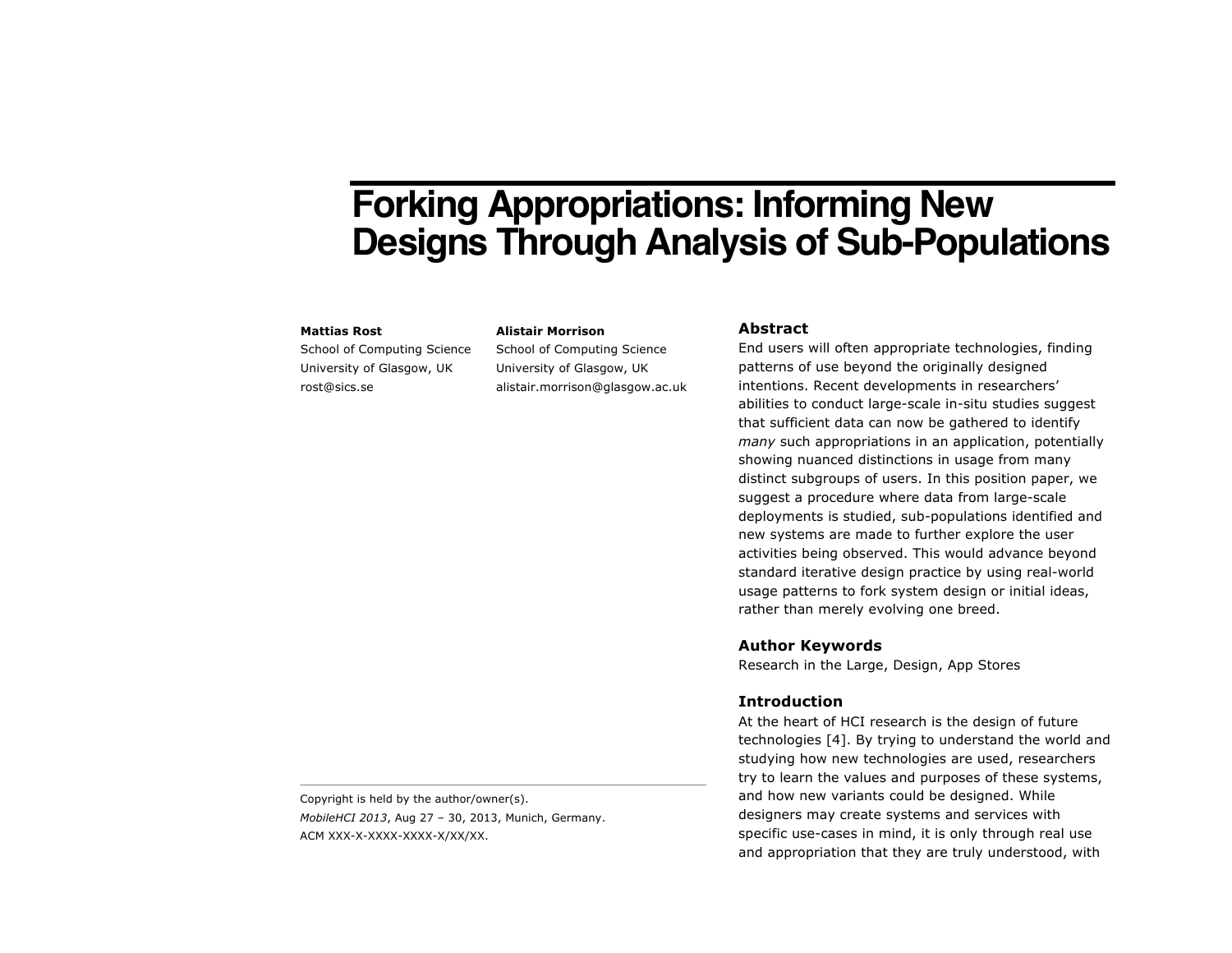# **Forking Appropriations: Informing New Designs Through Analysis of Sub-Populations**

#### **Mattias Rost**

School of Computing Science University of Glasgow, UK rost@sics.se

**Alistair Morrison** School of Computing Science University of Glasgow, UK

alistair.morrison@glasgow.ac.uk

## **Abstract**

End users will often appropriate technologies, finding patterns of use beyond the originally designed intentions. Recent developments in researchers' abilities to conduct large-scale in-situ studies suggest that sufficient data can now be gathered to identify *many* such appropriations in an application, potentially showing nuanced distinctions in usage from many distinct subgroups of users. In this position paper, we suggest a procedure where data from large-scale deployments is studied, sub-populations identified and new systems are made to further explore the user activities being observed. This would advance beyond standard iterative design practice by using real-world usage patterns to fork system design or initial ideas, rather than merely evolving one breed.

## **Author Keywords**

Research in the Large, Design, App Stores

#### **Introduction**

At the heart of HCI research is the design of future technologies [4]. By trying to understand the world and studying how new technologies are used, researchers try to learn the values and purposes of these systems, and how new variants could be designed. While designers may create systems and services with specific use-cases in mind, it is only through real use and appropriation that they are truly understood, with

Copyright is held by the author/owner(s). *MobileHCI 2013*, Aug 27 – 30, 2013, Munich, Germany. ACM XXX-X-XXXX-XXXX-X/XX/XX.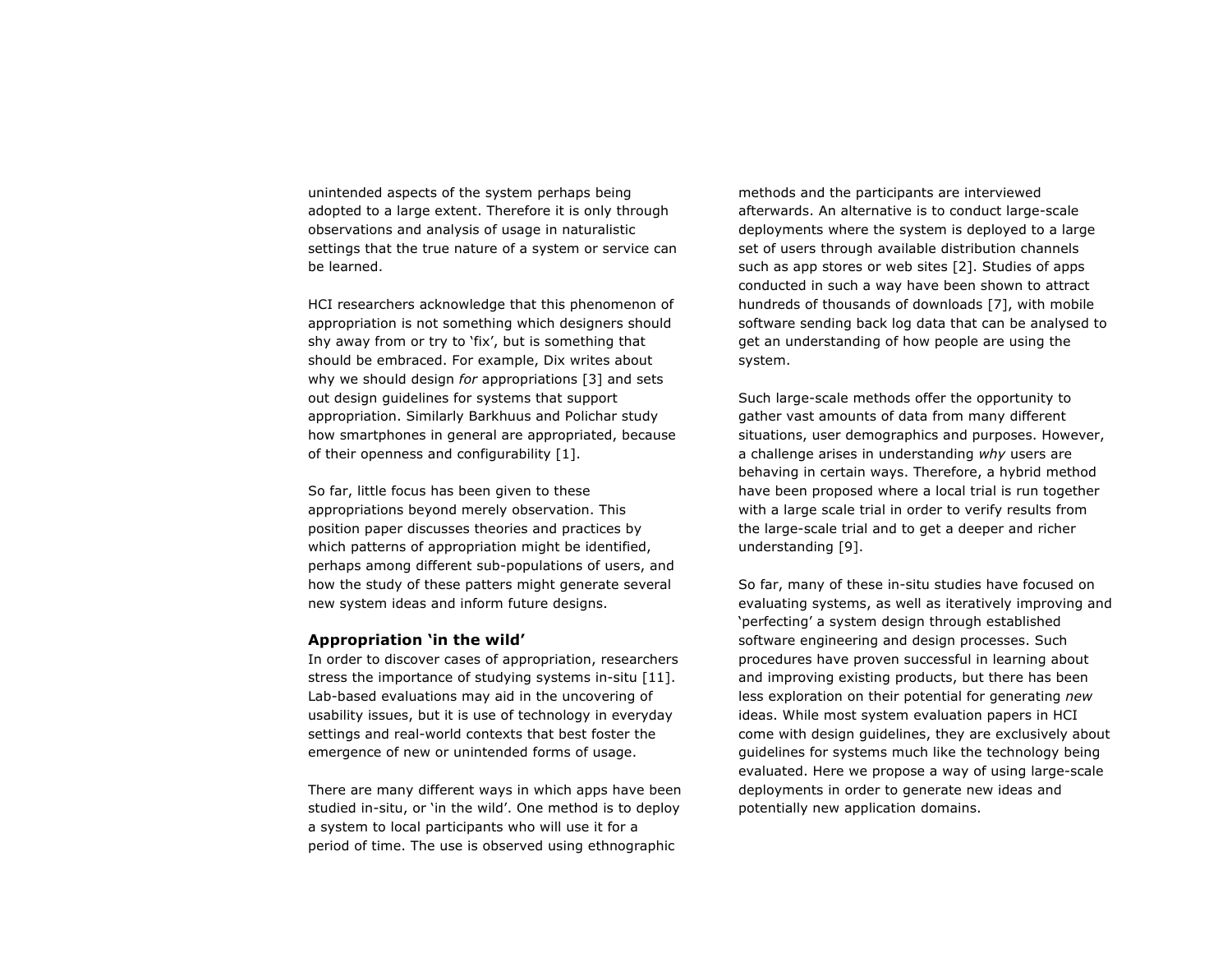unintended aspects of the system perhaps being adopted to a large extent. Therefore it is only through observations and analysis of usage in naturalistic settings that the true nature of a system or service can be learned.

HCI researchers acknowledge that this phenomenon of appropriation is not something which designers should shy away from or try to 'fix', but is something that should be embraced. For example, Dix writes about why we should design *for* appropriations [3] and sets out design guidelines for systems that support appropriation. Similarly Barkhuus and Polichar study how smartphones in general are appropriated, because of their openness and configurability [1].

So far, little focus has been given to these appropriations beyond merely observation. This position paper discusses theories and practices by which patterns of appropriation might be identified, perhaps among different sub-populations of users, and how the study of these patters might generate several new system ideas and inform future designs.

## **Appropriation 'in the wild'**

In order to discover cases of appropriation, researchers stress the importance of studying systems in-situ [11]. Lab-based evaluations may aid in the uncovering of usability issues, but it is use of technology in everyday settings and real-world contexts that best foster the emergence of new or unintended forms of usage.

There are many different ways in which apps have been studied in-situ, or 'in the wild'. One method is to deploy a system to local participants who will use it for a period of time. The use is observed using ethnographic

methods and the participants are interviewed afterwards. An alternative is to conduct large-scale deployments where the system is deployed to a large set of users through available distribution channels such as app stores or web sites [2]. Studies of apps conducted in such a way have been shown to attract hundreds of thousands of downloads [7], with mobile software sending back log data that can be analysed to get an understanding of how people are using the system.

Such large-scale methods offer the opportunity to gather vast amounts of data from many different situations, user demographics and purposes. However, a challenge arises in understanding *why* users are behaving in certain ways. Therefore, a hybrid method have been proposed where a local trial is run together with a large scale trial in order to verify results from the large-scale trial and to get a deeper and richer understanding [9].

So far, many of these in-situ studies have focused on evaluating systems, as well as iteratively improving and 'perfecting' a system design through established software engineering and design processes. Such procedures have proven successful in learning about and improving existing products, but there has been less exploration on their potential for generating *new* ideas. While most system evaluation papers in HCI come with design guidelines, they are exclusively about guidelines for systems much like the technology being evaluated. Here we propose a way of using large-scale deployments in order to generate new ideas and potentially new application domains.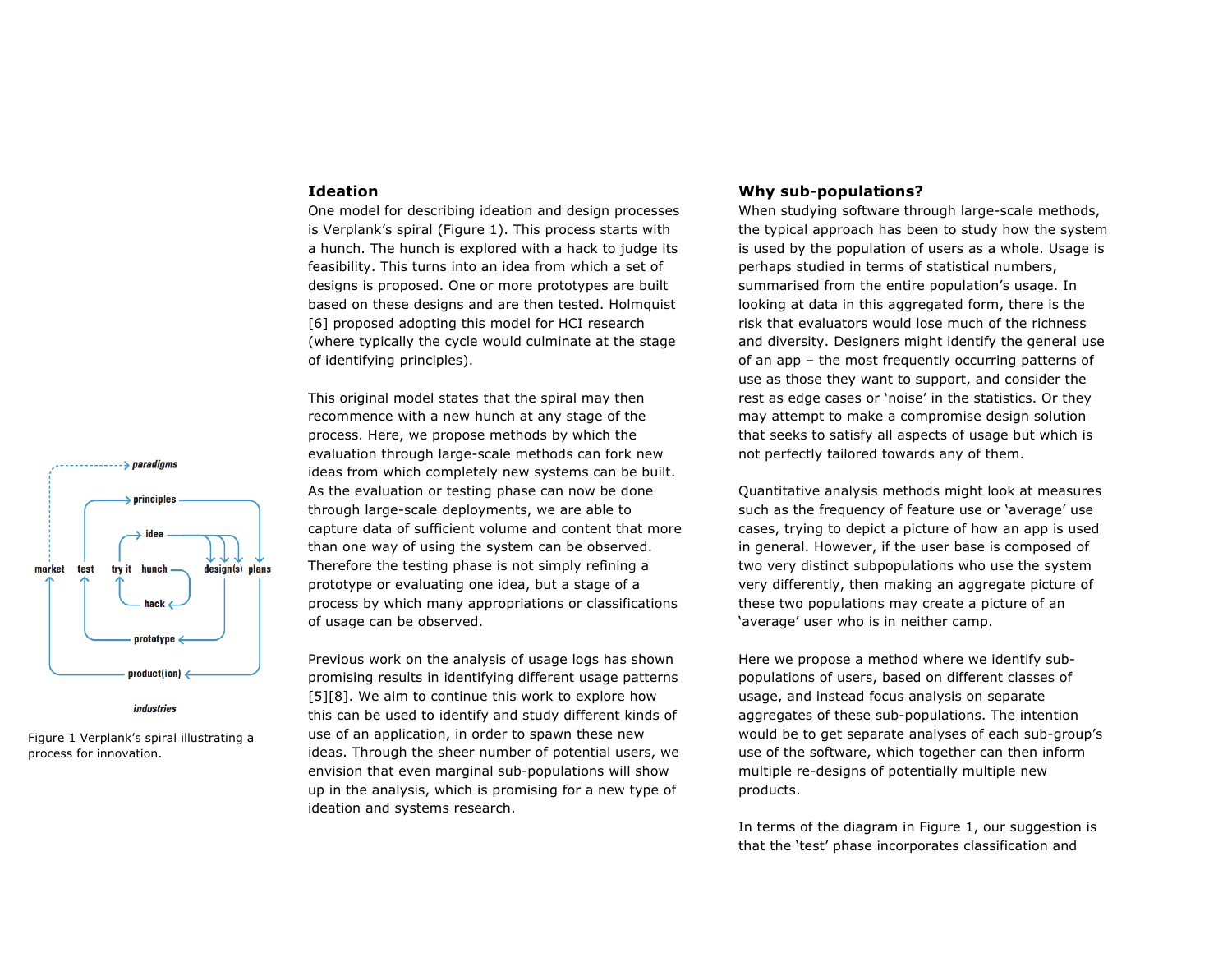#### **Ideation**

One model for describing ideation and design processes is Verplank's spiral (Figure 1). This process starts with a hunch. The hunch is explored with a hack to judge its feasibility. This turns into an idea from which a set of designs is proposed. One or more prototypes are built based on these designs and are then tested. Holmquist [6] proposed adopting this model for HCI research (where typically the cycle would culminate at the stage of identifying principles).

This original model states that the spiral may then recommence with a new hunch at any stage of the process. Here, we propose methods by which the evaluation through large-scale methods can fork new ideas from which completely new systems can be built. As the evaluation or testing phase can now be done through large-scale deployments, we are able to capture data of sufficient volume and content that more than one way of using the system can be observed. Therefore the testing phase is not simply refining a prototype or evaluating one idea, but a stage of a process by which many appropriations or classifications of usage can be observed.

Previous work on the analysis of usage logs has shown promising results in identifying different usage patterns [5][8]. We aim to continue this work to explore how this can be used to identify and study different kinds of use of an application, in order to spawn these new ideas. Through the sheer number of potential users, we envision that even marginal sub-populations will show up in the analysis, which is promising for a new type of ideation and systems research.

## **Why sub-populations?**

When studying software through large-scale methods, the typical approach has been to study how the system is used by the population of users as a whole. Usage is perhaps studied in terms of statistical numbers, summarised from the entire population's usage. In looking at data in this aggregated form, there is the risk that evaluators would lose much of the richness and diversity. Designers might identify the general use of an app – the most frequently occurring patterns of use as those they want to support, and consider the rest as edge cases or 'noise' in the statistics. Or they may attempt to make a compromise design solution that seeks to satisfy all aspects of usage but which is not perfectly tailored towards any of them.

Quantitative analysis methods might look at measures such as the frequency of feature use or 'average' use cases, trying to depict a picture of how an app is used in general. However, if the user base is composed of two very distinct subpopulations who use the system very differently, then making an aggregate picture of these two populations may create a picture of an 'average' user who is in neither camp.

Here we propose a method where we identify subpopulations of users, based on different classes of usage, and instead focus analysis on separate aggregates of these sub-populations. The intention would be to get separate analyses of each sub-group's use of the software, which together can then inform multiple re-designs of potentially multiple new products.

In terms of the diagram in Figure 1, our suggestion is that the 'test' phase incorporates classification and





Figure 1 Verplank's spiral illustrating a process for innovation.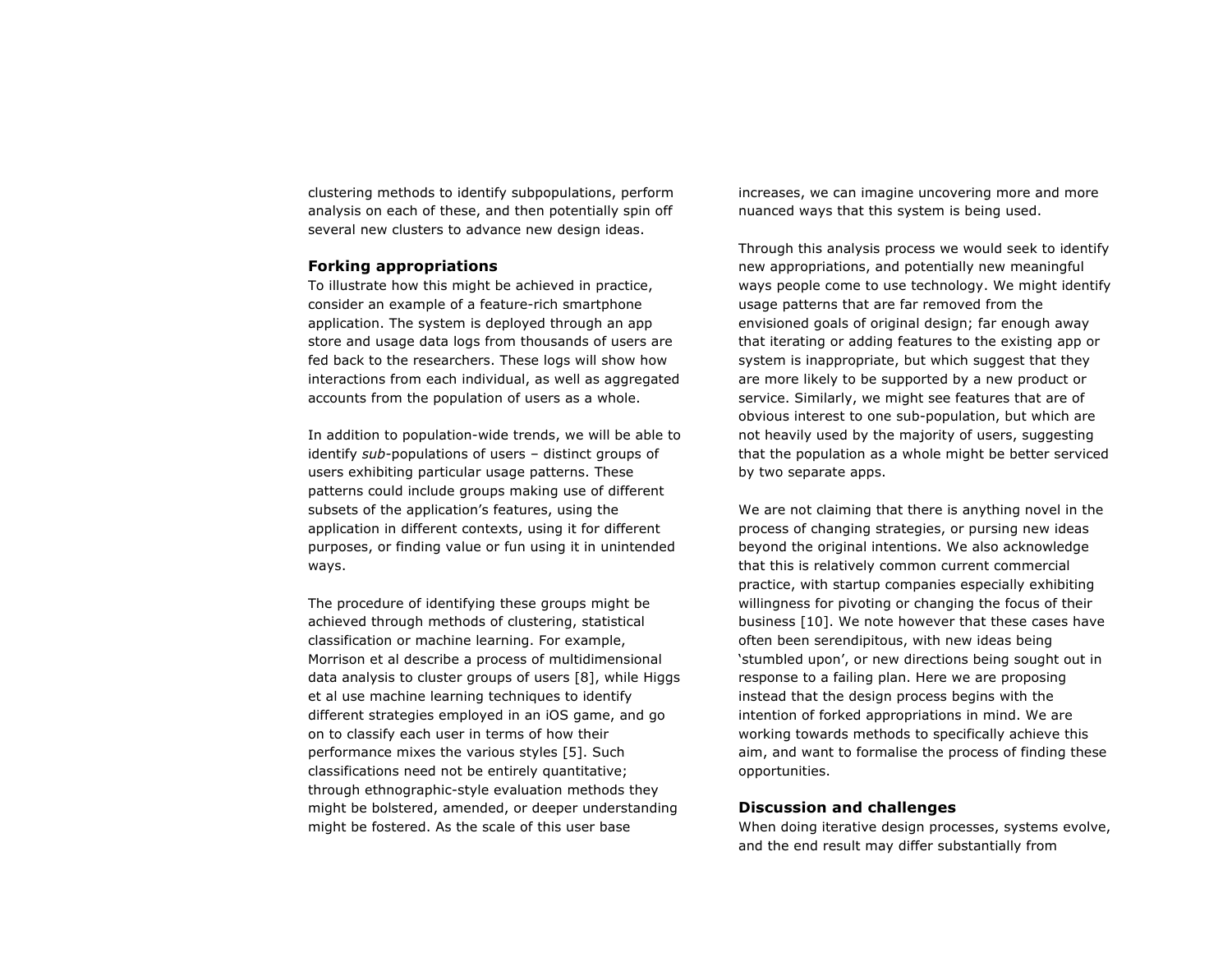clustering methods to identify subpopulations, perform analysis on each of these, and then potentially spin off several new clusters to advance new design ideas.

## **Forking appropriations**

To illustrate how this might be achieved in practice, consider an example of a feature-rich smartphone application. The system is deployed through an app store and usage data logs from thousands of users are fed back to the researchers. These logs will show how interactions from each individual, as well as aggregated accounts from the population of users as a whole.

In addition to population-wide trends, we will be able to identify *sub-*populations of users – distinct groups of users exhibiting particular usage patterns. These patterns could include groups making use of different subsets of the application's features, using the application in different contexts, using it for different purposes, or finding value or fun using it in unintended ways.

The procedure of identifying these groups might be achieved through methods of clustering, statistical classification or machine learning. For example, Morrison et al describe a process of multidimensional data analysis to cluster groups of users [8], while Higgs et al use machine learning techniques to identify different strategies employed in an iOS game, and go on to classify each user in terms of how their performance mixes the various styles [5]. Such classifications need not be entirely quantitative; through ethnographic-style evaluation methods they might be bolstered, amended, or deeper understanding might be fostered. As the scale of this user base

increases, we can imagine uncovering more and more nuanced ways that this system is being used.

Through this analysis process we would seek to identify new appropriations, and potentially new meaningful ways people come to use technology. We might identify usage patterns that are far removed from the envisioned goals of original design; far enough away that iterating or adding features to the existing app or system is inappropriate, but which suggest that they are more likely to be supported by a new product or service. Similarly, we might see features that are of obvious interest to one sub-population, but which are not heavily used by the majority of users, suggesting that the population as a whole might be better serviced by two separate apps.

We are not claiming that there is anything novel in the process of changing strategies, or pursing new ideas beyond the original intentions. We also acknowledge that this is relatively common current commercial practice, with startup companies especially exhibiting willingness for pivoting or changing the focus of their business [10]. We note however that these cases have often been serendipitous, with new ideas being 'stumbled upon', or new directions being sought out in response to a failing plan. Here we are proposing instead that the design process begins with the intention of forked appropriations in mind. We are working towards methods to specifically achieve this aim, and want to formalise the process of finding these opportunities.

## **Discussion and challenges**

When doing iterative design processes, systems evolve, and the end result may differ substantially from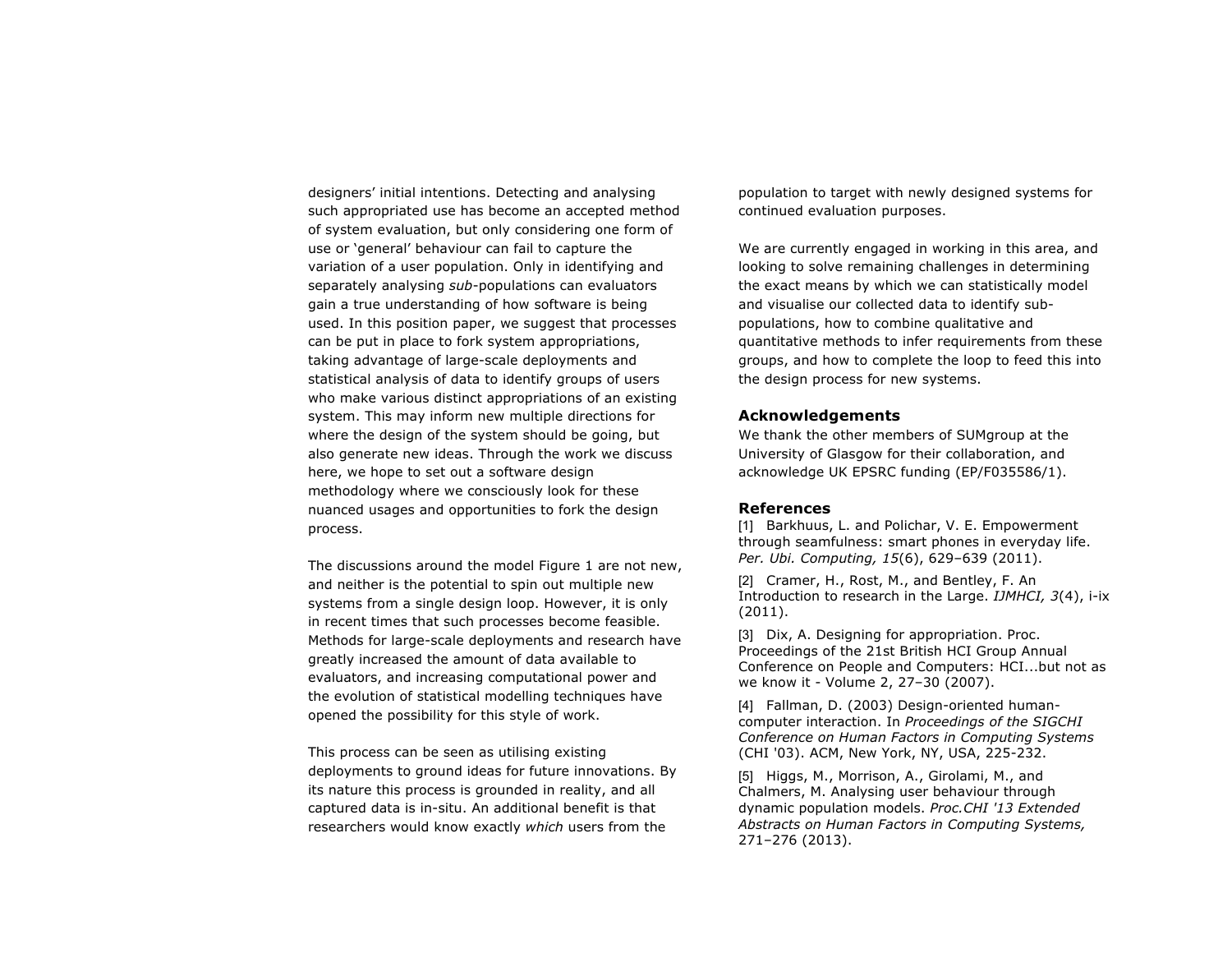designers' initial intentions. Detecting and analysing such appropriated use has become an accepted method of system evaluation, but only considering one form of use or 'general' behaviour can fail to capture the variation of a user population. Only in identifying and separately analysing *sub*-populations can evaluators gain a true understanding of how software is being used. In this position paper, we suggest that processes can be put in place to fork system appropriations, taking advantage of large-scale deployments and statistical analysis of data to identify groups of users who make various distinct appropriations of an existing system. This may inform new multiple directions for where the design of the system should be going, but also generate new ideas. Through the work we discuss here, we hope to set out a software design methodology where we consciously look for these nuanced usages and opportunities to fork the design process.

The discussions around the model Figure 1 are not new, and neither is the potential to spin out multiple new systems from a single design loop. However, it is only in recent times that such processes become feasible. Methods for large-scale deployments and research have greatly increased the amount of data available to evaluators, and increasing computational power and the evolution of statistical modelling techniques have opened the possibility for this style of work.

This process can be seen as utilising existing deployments to ground ideas for future innovations. By its nature this process is grounded in reality, and all captured data is in-situ. An additional benefit is that researchers would know exactly *which* users from the

population to target with newly designed systems for continued evaluation purposes.

We are currently engaged in working in this area, and looking to solve remaining challenges in determining the exact means by which we can statistically model and visualise our collected data to identify subpopulations, how to combine qualitative and quantitative methods to infer requirements from these groups, and how to complete the loop to feed this into the design process for new systems.

## **Acknowledgements**

We thank the other members of SUMgroup at the University of Glasgow for their collaboration, and acknowledge UK EPSRC funding (EP/F035586/1).

#### **References**

[1] Barkhuus, L. and Polichar, V. E. Empowerment through seamfulness: smart phones in everyday life. *Per. Ubi. Computing, 15*(6), 629–639 (2011).

[2] Cramer, H., Rost, M., and Bentley, F. An Introduction to research in the Large. *IJMHCI, 3*(4), i-ix (2011).

[3] Dix, A. Designing for appropriation. Proc. Proceedings of the 21st British HCI Group Annual Conference on People and Computers: HCI...but not as we know it - Volume 2, 27–30 (2007).

[4] Fallman, D. (2003) Design-oriented humancomputer interaction. In *Proceedings of the SIGCHI Conference on Human Factors in Computing Systems* (CHI '03). ACM, New York, NY, USA, 225-232.

[5] Higgs, M., Morrison, A., Girolami, M., and Chalmers, M. Analysing user behaviour through dynamic population models. *Proc.CHI '13 Extended Abstracts on Human Factors in Computing Systems,* 271–276 (2013).